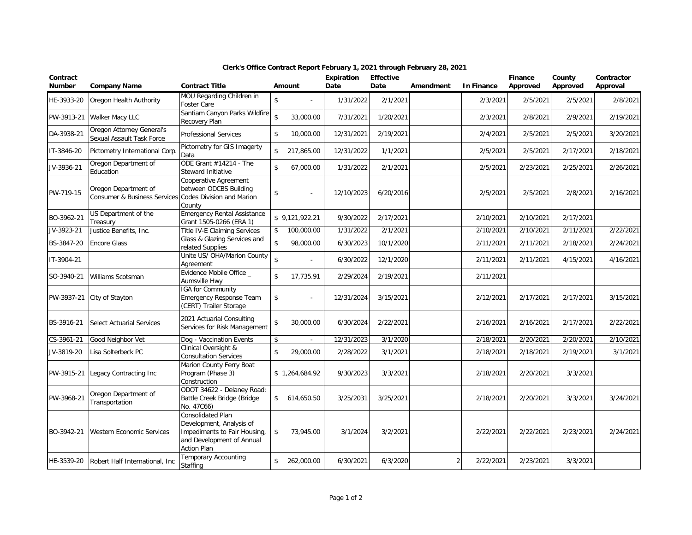| Contract<br><b>Number</b> | <b>Company Name</b>                                             | <b>Contract Title</b>                                                                                                                   |                    | Amount         | Expiration<br>Date | <b>Effective</b><br>Date | Amendment | <b>In Finance</b> | Finance<br>Approved | County<br>Approved     | Contractor<br>Approval |
|---------------------------|-----------------------------------------------------------------|-----------------------------------------------------------------------------------------------------------------------------------------|--------------------|----------------|--------------------|--------------------------|-----------|-------------------|---------------------|------------------------|------------------------|
| HE-3933-20                | Oregon Health Authority                                         | MOU Regarding Children in<br>Foster Care                                                                                                | $\mathsf{\$}$      |                | 1/31/2022          | 2/1/2021                 |           | 2/3/2021          | 2/5/2021            | 2/5/2021               | 2/8/2021               |
| PW-3913-21                | Walker Macy LLC                                                 | Santiam Canyon Parks Wildfire<br>Recovery Plan                                                                                          | $\mathsf{\$}$      | 33,000.00      | 7/31/2021          | 1/20/2021                |           | 2/3/2021          | 2/8/2021            | 2/9/2021               | 2/19/2021              |
| DA-3938-21                | Oregon Attorney General's<br>Sexual Assault Task Force          | <b>Professional Services</b>                                                                                                            | $\sqrt{2}$         | 10,000.00      | 12/31/2021         | 2/19/2021                |           | 2/4/2021          | 2/5/2021            | 2/5/2021               | 3/20/2021              |
| IT-3846-20                | Pictometry International Corp.                                  | Pictometry for GIS Imagerty<br>Data                                                                                                     | \$                 | 217,865.00     | 12/31/2022         | 1/1/2021                 |           | 2/5/2021          | 2/5/2021            | 2/17/2021              | 2/18/2021              |
| JV-3936-21                | Oregon Department of<br>Education                               | ODE Grant #14214 - The<br><b>Steward Initiative</b>                                                                                     | \$                 | 67,000.00      | 1/31/2022          | 2/1/2021                 |           | 2/5/2021          | 2/23/2021           | 2/25/2021              | 2/26/2021              |
| PW-719-15                 | Oregon Department of<br><b>Consumer &amp; Business Services</b> | Cooperative Agreement<br>between ODCBS Building<br>Codes Division and Marion<br>County                                                  | \$                 |                | 12/10/2023         | 6/20/2016                |           | 2/5/2021          | 2/5/2021            | 2/8/2021               | 2/16/2021              |
| BO-3962-21                | US Department of the<br>Treasury                                | <b>Emergency Rental Assistance</b><br>Grant 1505-0266 (ERA 1)                                                                           |                    | \$9,121,922.21 | 9/30/2022          | 2/17/2021                |           | 2/10/2021         | 2/10/2021           | 2/17/2021              |                        |
| JV-3923-21                | Justice Benefits, Inc.                                          | Title IV-E Claiming Services                                                                                                            | \$                 | 100,000.00     | 1/31/2022          | 2/1/2021                 |           | 2/10/2021         | 2/10/2021           | $\overline{2/11/2021}$ | 2/22/2021              |
| BS-3847-20                | <b>Encore Glass</b>                                             | Glass & Glazing Services and<br>related Supplies                                                                                        | \$                 | 98,000.00      | 6/30/2023          | 10/1/2020                |           | 2/11/2021         | 2/11/2021           | 2/18/2021              | 2/24/2021              |
| IT-3904-21                |                                                                 | Unite US/ OHA/Marion County<br>Agreement                                                                                                | $\mathsf{\$}$      |                | 6/30/2022          | 12/1/2020                |           | 2/11/2021         | 2/11/2021           | 4/15/2021              | 4/16/2021              |
| SO-3940-21                | Williams Scotsman                                               | Evidence Mobile Office _<br>Aumsville Hwy                                                                                               | \$                 | 17,735.91      | 2/29/2024          | 2/19/2021                |           | 2/11/2021         |                     |                        |                        |
| PW-3937-21                | City of Stayton                                                 | IGA for Community<br>Emergency Response Team<br>(CERT) Trailer Storage                                                                  | \$                 |                | 12/31/2024         | 3/15/2021                |           | 2/12/2021         | 2/17/2021           | 2/17/2021              | 3/15/2021              |
| BS-3916-21                | <b>Select Actuarial Services</b>                                | 2021 Actuarial Consulting<br>Services for Risk Management                                                                               | $$\mathbb{S}$$     | 30,000.00      | 6/30/2024          | 2/22/2021                |           | 2/16/2021         | 2/16/2021           | 2/17/2021              | 2/22/2021              |
| CS-3961-21                | Good Neighbor Vet                                               | Dog - Vaccination Events                                                                                                                | $\mathbf{\hat{S}}$ |                | 12/31/2023         | 3/1/2020                 |           | 2/18/2021         | 2/20/2021           | 2/20/2021              | 2/10/2021              |
| JV-3819-20                | Lisa Solterbeck PC                                              | Clinical Oversight &<br><b>Consultation Services</b>                                                                                    | \$                 | 29,000.00      | 2/28/2022          | 3/1/2021                 |           | 2/18/2021         | 2/18/2021           | 2/19/2021              | 3/1/2021               |
| PW-3915-21                | Legacy Contracting Inc                                          | Marion County Ferry Boat<br>Program (Phase 3)<br>Construction                                                                           |                    | \$1,264,684.92 | 9/30/2023          | 3/3/2021                 |           | 2/18/2021         | 2/20/2021           | 3/3/2021               |                        |
| PW-3968-21                | Oregon Department of<br>Transportation                          | ODOT 34622 - Delaney Road:<br>Battle Creek Bridge (Bridge<br>No. 47C66)                                                                 | $\mathsf{\$}$      | 614,650.50     | 3/25/2031          | 3/25/2021                |           | 2/18/2021         | 2/20/2021           | 3/3/2021               | 3/24/2021              |
| BO-3942-21                | <b>Western Economic Services</b>                                | <b>Consolidated Plan</b><br>Development, Analysis of<br>Impediments to Fair Housing,<br>and Development of Annual<br><b>Action Plan</b> | \$                 | 73,945.00      | 3/1/2024           | 3/2/2021                 |           | 2/22/2021         | 2/22/2021           | 2/23/2021              | 2/24/2021              |
| HE-3539-20                | Robert Half International, Inc.                                 | Temporary Accounting<br>Staffing                                                                                                        | \$                 | 262,000.00     | 6/30/2021          | 6/3/2020                 | 2         | 2/22/2021         | 2/23/2021           | 3/3/2021               |                        |

## **Clerk's Office Contract Report February 1, 2021 through February 28, 2021**